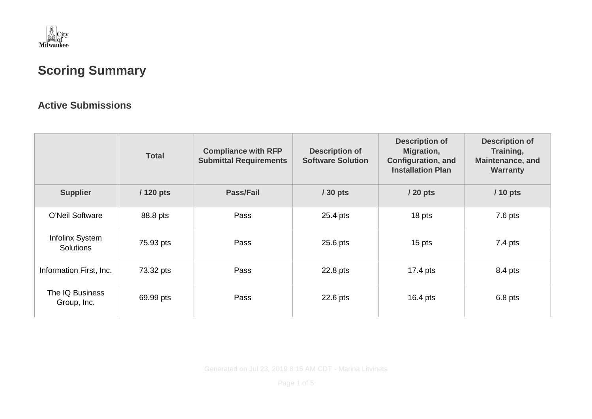

## **Scoring Summary**

## **Active Submissions**

|                                     | <b>Total</b> | <b>Compliance with RFP</b><br><b>Submittal Requirements</b> | <b>Description of</b><br><b>Software Solution</b> | <b>Description of</b><br>Migration,<br><b>Configuration, and</b><br><b>Installation Plan</b> | <b>Description of</b><br>Training,<br><b>Maintenance, and</b><br><b>Warranty</b> |
|-------------------------------------|--------------|-------------------------------------------------------------|---------------------------------------------------|----------------------------------------------------------------------------------------------|----------------------------------------------------------------------------------|
| <b>Supplier</b>                     | $/120$ pts   | <b>Pass/Fail</b>                                            | $/30$ pts                                         | / 20 pts                                                                                     | $/10$ pts                                                                        |
| <b>O'Neil Software</b>              | 88.8 pts     | Pass                                                        | 25.4 pts                                          | 18 pts                                                                                       | $7.6$ pts                                                                        |
| Infolinx System<br><b>Solutions</b> | 75.93 pts    | Pass                                                        | $25.6$ pts                                        | 15 pts                                                                                       | $7.4$ pts                                                                        |
| Information First, Inc.             | 73.32 pts    | Pass                                                        | 22.8 pts                                          | 17.4 pts                                                                                     | 8.4 pts                                                                          |
| The IQ Business<br>Group, Inc.      | 69.99 pts    | Pass                                                        | 22.6 pts                                          | 16.4 $pts$                                                                                   | $6.8$ pts                                                                        |

Generated on Jul 23, 2019 8:15 AM CDT - Marina Litvinets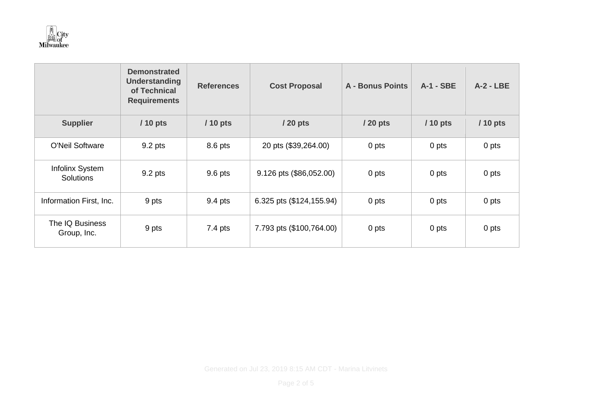

|                                     | <b>Demonstrated</b><br><b>Understanding</b><br>of Technical<br><b>Requirements</b> | <b>References</b> | <b>Cost Proposal</b>     | <b>A - Bonus Points</b> | <b>A-1 - SBE</b> | $A-2 - LBE$ |
|-------------------------------------|------------------------------------------------------------------------------------|-------------------|--------------------------|-------------------------|------------------|-------------|
| <b>Supplier</b>                     | $/10$ pts                                                                          | $/10$ pts         | / 20 pts                 | $/20$ pts               | $/10$ pts        | / 10 pts    |
| <b>O'Neil Software</b>              | 9.2 pts                                                                            | 8.6 pts           | 20 pts (\$39,264.00)     | 0 pts                   | 0 pts            | 0 pts       |
| Infolinx System<br><b>Solutions</b> | 9.2 pts                                                                            | 9.6 pts           | 9.126 pts (\$86,052.00)  | 0 pts                   | 0 pts            | 0 pts       |
| Information First, Inc.             | 9 pts                                                                              | 9.4 pts           | 6.325 pts (\$124,155.94) | 0 pts                   | 0 pts            | 0 pts       |
| The IQ Business<br>Group, Inc.      | 9 pts                                                                              | $7.4$ pts         | 7.793 pts (\$100,764.00) | 0 pts                   | 0 pts            | 0 pts       |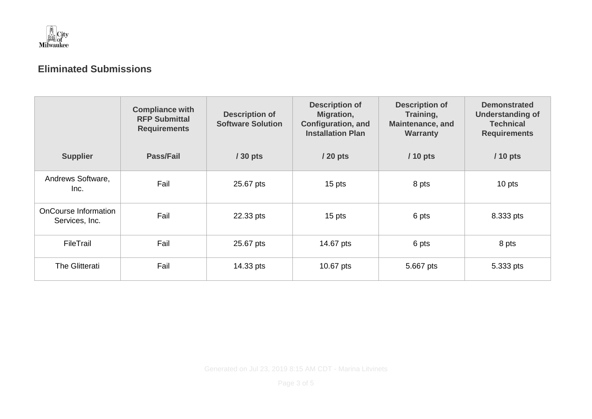

## **Eliminated Submissions**

|                                        | <b>Compliance with</b><br><b>RFP Submittal</b><br><b>Requirements</b> | <b>Description of</b><br><b>Software Solution</b> | <b>Description of</b><br>Migration,<br><b>Configuration, and</b><br><b>Installation Plan</b> | <b>Description of</b><br>Training,<br><b>Maintenance, and</b><br><b>Warranty</b> | <b>Demonstrated</b><br><b>Understanding of</b><br><b>Technical</b><br><b>Requirements</b> |
|----------------------------------------|-----------------------------------------------------------------------|---------------------------------------------------|----------------------------------------------------------------------------------------------|----------------------------------------------------------------------------------|-------------------------------------------------------------------------------------------|
| <b>Supplier</b>                        | <b>Pass/Fail</b>                                                      | / 30 pts                                          | $/20$ pts                                                                                    | $/10$ pts                                                                        | $/10$ pts                                                                                 |
| Andrews Software,<br>Inc.              | Fail                                                                  | 25.67 pts                                         | 15 pts                                                                                       | 8 pts                                                                            | 10 pts                                                                                    |
| OnCourse Information<br>Services, Inc. | Fail                                                                  | 22.33 pts                                         | 15 pts                                                                                       | 6 pts                                                                            | 8.333 pts                                                                                 |
| FileTrail                              | Fail                                                                  | 25.67 pts                                         | 14.67 pts                                                                                    | 6 pts                                                                            | 8 pts                                                                                     |
| The Glitterati                         | Fail                                                                  | 14.33 pts                                         | 10.67 pts                                                                                    | 5.667 pts                                                                        | 5.333 pts                                                                                 |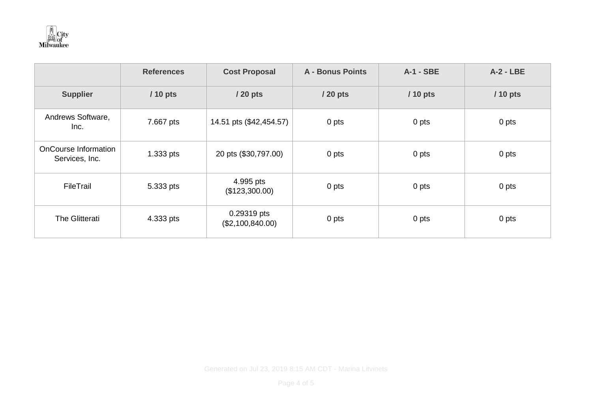

|                                               | <b>References</b> | <b>Cost Proposal</b>            | <b>A - Bonus Points</b> | <b>A-1 - SBE</b> | $A-2 - LBE$ |
|-----------------------------------------------|-------------------|---------------------------------|-------------------------|------------------|-------------|
| <b>Supplier</b>                               | $/10$ pts         | / 20 pts                        | / 20 pts                | $/10$ pts        | $/10$ pts   |
| Andrews Software,<br>Inc.                     | 7.667 pts         | 14.51 pts (\$42,454.57)         | 0 pts                   | 0 pts            | 0 pts       |
| <b>OnCourse Information</b><br>Services, Inc. | 1.333 pts         | 20 pts (\$30,797.00)            | 0 pts                   | 0 pts            | 0 pts       |
| FileTrail                                     | 5.333 pts         | 4.995 pts<br>(\$123,300.00)     | 0 pts                   | 0 pts            | 0 pts       |
| The Glitterati                                | 4.333 pts         | 0.29319 pts<br>(\$2,100,840.00) | 0 pts                   | 0 pts            | 0 pts       |